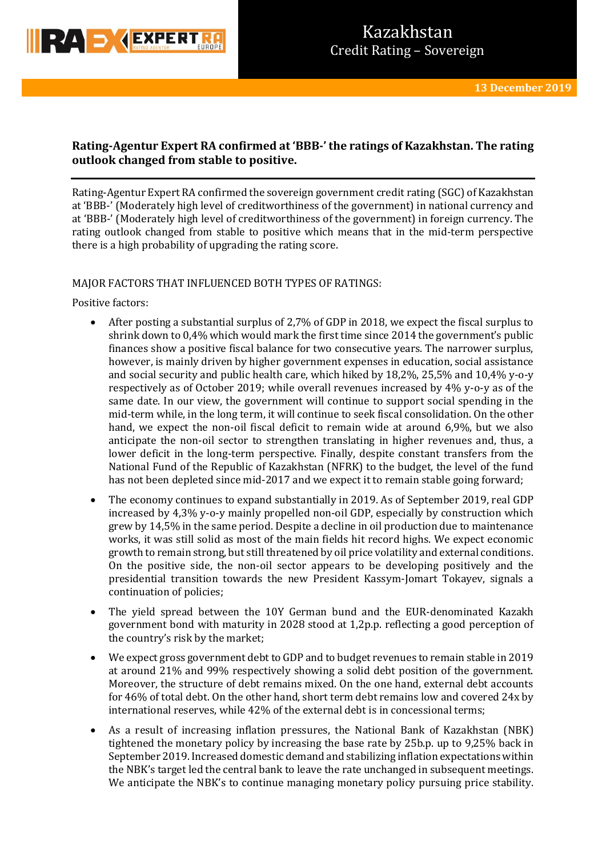

# **Rating-Agentur Expert RA confirmed at 'BBB-' the ratings of Kazakhstan. The rating outlook changed from stable to positive.**

Rating-Agentur Expert RA confirmed the sovereign government credit rating (SGC) of Kazakhstan at 'BBB-' (Moderately high level of creditworthiness of the government) in national currency and at 'BBB-' (Moderately high level of creditworthiness of the government) in foreign currency. The rating outlook changed from stable to positive which means that in the mid-term perspective there is a high probability of upgrading the rating score.

## MAJOR FACTORS THAT INFLUENCED BOTH TYPES OF RATINGS:

Positive factors:

- After posting a substantial surplus of 2,7% of GDP in 2018, we expect the fiscal surplus to shrink down to 0,4% which would mark the first time since 2014 the government's public finances show a positive fiscal balance for two consecutive years. The narrower surplus, however, is mainly driven by higher government expenses in education, social assistance and social security and public health care, which hiked by  $18,2\%$ ,  $25,5\%$  and  $10,4\%$  y-o-y respectively as of October 2019; while overall revenues increased by 4% y-o-y as of the same date. In our view, the government will continue to support social spending in the mid-term while, in the long term, it will continue to seek fiscal consolidation. On the other hand, we expect the non-oil fiscal deficit to remain wide at around 6,9%, but we also anticipate the non-oil sector to strengthen translating in higher revenues and, thus, a lower deficit in the long-term perspective. Finally, despite constant transfers from the National Fund of the Republic of Kazakhstan (NFRK) to the budget, the level of the fund has not been depleted since mid-2017 and we expect it to remain stable going forward;
- The economy continues to expand substantially in 2019. As of September 2019, real GDP increased by 4,3% y-o-y mainly propelled non-oil GDP, especially by construction which grew by 14,5% in the same period. Despite a decline in oil production due to maintenance works, it was still solid as most of the main fields hit record highs. We expect economic growth to remain strong, but still threatened by oil price volatility and external conditions. On the positive side, the non-oil sector appears to be developing positively and the presidential transition towards the new President Kassym-Jomart Tokayev, signals a continuation of policies;
- The yield spread between the 10Y German bund and the EUR-denominated Kazakh government bond with maturity in 2028 stood at 1,2p.p. reflecting a good perception of the country's risk by the market;
- We expect gross government debt to GDP and to budget revenues to remain stable in 2019 at around 21% and 99% respectively showing a solid debt position of the government. Moreover, the structure of debt remains mixed. On the one hand, external debt accounts for 46% of total debt. On the other hand, short term debt remains low and covered 24x by international reserves, while 42% of the external debt is in concessional terms;
- As a result of increasing inflation pressures, the National Bank of Kazakhstan (NBK) tightened the monetary policy by increasing the base rate by 25b.p. up to 9,25% back in September 2019. Increased domestic demand and stabilizing inflation expectations within the NBK's target led the central bank to leave the rate unchanged in subsequent meetings. We anticipate the NBK's to continue managing monetary policy pursuing price stability.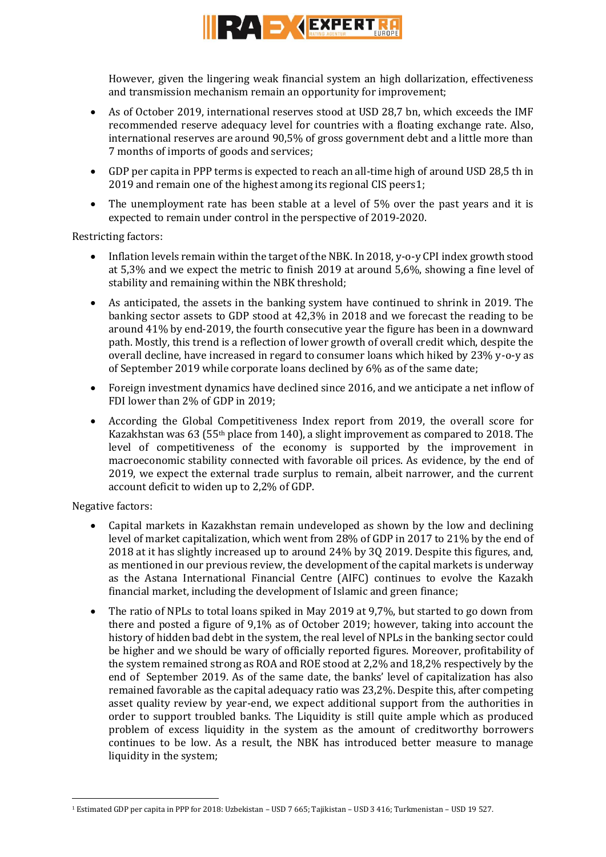

However, given the lingering weak financial system an high dollarization, effectiveness and transmission mechanism remain an opportunity for improvement;

- As of October 2019, international reserves stood at USD 28,7 bn, which exceeds the IMF recommended reserve adequacy level for countries with a floating exchange rate. Also, international reserves are around 90,5% of gross government debt and a little more than 7 months of imports of goods and services;
- GDP per capita in PPP terms is expected to reach an all-time high of around USD 28,5 th in 2019 and remain one of the highest among its regional CIS peers1;
- The unemployment rate has been stable at a level of 5% over the past years and it is expected to remain under control in the perspective of 2019-2020.

Restricting factors:

- Inflation levels remain within the target of the NBK. In 2018, y-o-y CPI index growth stood at 5,3% and we expect the metric to finish 2019 at around 5,6%, showing a fine level of stability and remaining within the NBK threshold;
- As anticipated, the assets in the banking system have continued to shrink in 2019. The banking sector assets to GDP stood at 42,3% in 2018 and we forecast the reading to be around 41% by end-2019, the fourth consecutive year the figure has been in a downward path. Mostly, this trend is a reflection of lower growth of overall credit which, despite the overall decline, have increased in regard to consumer loans which hiked by 23% y-o-y as of September 2019 while corporate loans declined by 6% as of the same date;
- Foreign investment dynamics have declined since 2016, and we anticipate a net inflow of FDI lower than 2% of GDP in 2019;
- According the Global Competitiveness Index report from 2019, the overall score for Kazakhstan was 63 (55<sup>th</sup> place from 140), a slight improvement as compared to 2018. The level of competitiveness of the economy is supported by the improvement in macroeconomic stability connected with favorable oil prices. As evidence, by the end of 2019, we expect the external trade surplus to remain, albeit narrower, and the current account deficit to widen up to 2,2% of GDP.

Negative factors:

**.** 

- Capital markets in Kazakhstan remain undeveloped as shown by the low and declining level of market capitalization, which went from 28% of GDP in 2017 to 21% by the end of 2018 at it has slightly increased up to around 24% by 3Q 2019. Despite this figures, and, as mentioned in our previous review, the development of the capital markets is underway as the Astana International Financial Centre (AIFC) continues to evolve the Kazakh financial market, including the development of Islamic and green finance;
- The ratio of NPLs to total loans spiked in May 2019 at 9,7%, but started to go down from there and posted a figure of 9,1% as of October 2019; however, taking into account the history of hidden bad debt in the system, the real level of NPLs in the banking sector could be higher and we should be wary of officially reported figures. Moreover, profitability of the system remained strong as ROA and ROE stood at 2,2% and 18,2% respectively by the end of September 2019. As of the same date, the banks' level of capitalization has also remained favorable as the capital adequacy ratio was 23,2%. Despite this, after competing asset quality review by year-end, we expect additional support from the authorities in order to support troubled banks. The Liquidity is still quite ample which as produced problem of excess liquidity in the system as the amount of creditworthy borrowers continues to be low. As a result, the NBK has introduced better measure to manage liquidity in the system;

<sup>1</sup> Estimated GDP per capita in PPP for 2018: Uzbekistan – USD 7 665; Tajikistan – USD 3 416; Turkmenistan – USD 19 527.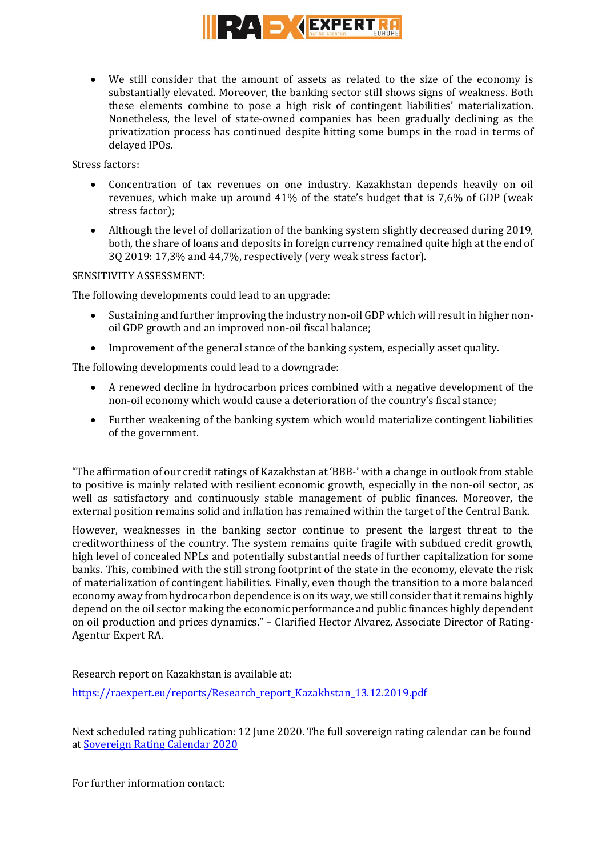

 We still consider that the amount of assets as related to the size of the economy is substantially elevated. Moreover, the banking sector still shows signs of weakness. Both these elements combine to pose a high risk of contingent liabilities' materialization. Nonetheless, the level of state-owned companies has been gradually declining as the privatization process has continued despite hitting some bumps in the road in terms of delayed IPOs.

Stress factors:

- Concentration of tax revenues on one industry. Kazakhstan depends heavily on oil revenues, which make up around 41% of the state's budget that is 7,6% of GDP (weak stress factor);
- Although the level of dollarization of the banking system slightly decreased during 2019, both, the share of loans and deposits in foreign currency remained quite high at the end of 3Q 2019: 17,3% and 44,7%, respectively (very weak stress factor).

## SENSITIVITY ASSESSMENT:

The following developments could lead to an upgrade:

- Sustaining and further improving the industry non-oil GDP which will resultin higher nonoil GDP growth and an improved non-oil fiscal balance;
- Improvement of the general stance of the banking system, especially asset quality.

The following developments could lead to a downgrade:

- A renewed decline in hydrocarbon prices combined with a negative development of the non-oil economy which would cause a deterioration of the country's fiscal stance;
- Further weakening of the banking system which would materialize contingent liabilities of the government.

"The affirmation of our credit ratings of Kazakhstan at 'BBB-' with a change in outlook from stable to positive is mainly related with resilient economic growth, especially in the non-oil sector, as well as satisfactory and continuously stable management of public finances. Moreover, the external position remains solid and inflation has remained within the target of the Central Bank.

However, weaknesses in the banking sector continue to present the largest threat to the creditworthiness of the country. The system remains quite fragile with subdued credit growth, high level of concealed NPLs and potentially substantial needs of further capitalization for some banks. This, combined with the still strong footprint of the state in the economy, elevate the risk of materialization of contingent liabilities. Finally, even though the transition to a more balanced economy away from hydrocarbon dependence is on its way, we still consider that it remains highly depend on the oil sector making the economic performance and public finances highly dependent on oil production and prices dynamics." – Clarified Hector Alvarez, Associate Director of Rating-Agentur Expert RA.

Research report on Kazakhstan is available at: [https://raexpert.eu/reports/Research\\_report\\_Kazakhstan\\_13.12.2019.pdf](https://raexpert.eu/reports/Research_report_Kazakhstan_13.12.2019.pdf)

Next scheduled rating publication: 12 June 2020. The full sovereign rating calendar can be found at [Sovereign Rating Calendar 2020](https://raexpert.eu/sovereign/#conf-tab-5)

For further information contact: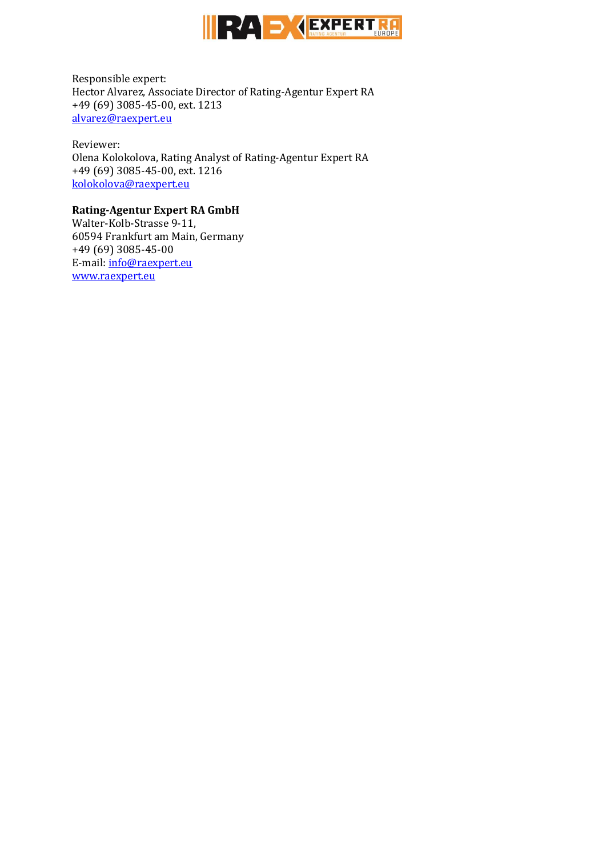

Responsible expert: Hector Alvarez, Associate Director of Rating-Agentur Expert RA +49 (69) 3085-45-00, ext. 1213 [alvarez@raexpert.eu](mailto:alvarez@raexpert.eu)

Reviewer: Olena Kolokolova, Rating Analyst of Rating-Agentur Expert RA +49 (69) 3085-45-00, ext. 1216 [kolokolova@raexpert.eu](mailto:kolokolova@raexpert.eu)

## **Rating-Agentur Expert RA GmbH**

Walter-Kolb-Strasse 9-11, 60594 Frankfurt am Main, Germany +49 (69) 3085-45-00 E-mail[: info@raexpert.eu](mailto:info@raexpert.eu) [www.raexpert.eu](http://raexpert.eu/)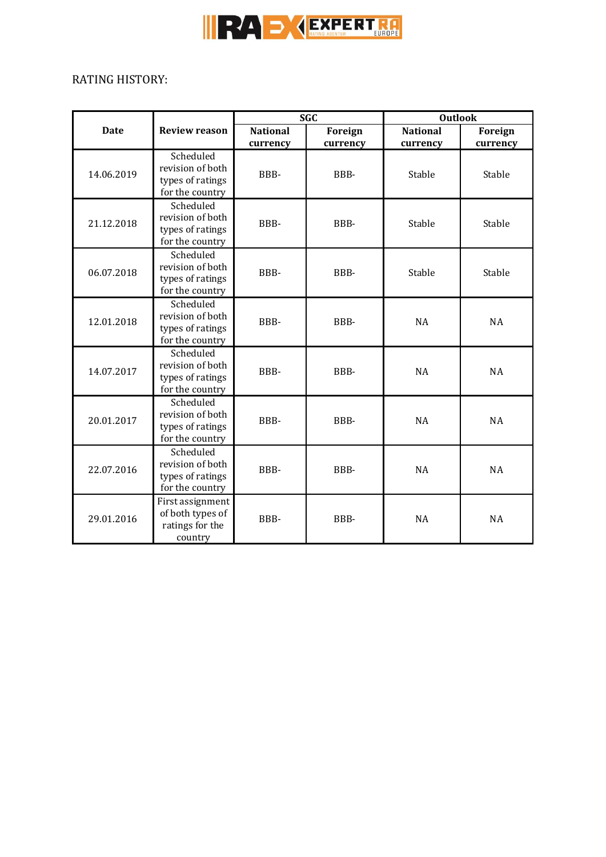

# RATING HISTORY:

| <b>Date</b> | <b>Review reason</b>                                                 | <b>SGC</b>                  |                            | <b>Outlook</b>              |                            |
|-------------|----------------------------------------------------------------------|-----------------------------|----------------------------|-----------------------------|----------------------------|
|             |                                                                      | <b>National</b><br>currency | <b>Foreign</b><br>currency | <b>National</b><br>currency | <b>Foreign</b><br>currency |
| 14.06.2019  | Scheduled<br>revision of both<br>types of ratings<br>for the country | BBB-                        | BBB-                       | Stable                      | Stable                     |
| 21.12.2018  | Scheduled<br>revision of both<br>types of ratings<br>for the country | BBB-                        | BBB-                       | Stable                      | Stable                     |
| 06.07.2018  | Scheduled<br>revision of both<br>types of ratings<br>for the country | BBB-                        | BBB-                       | Stable                      | Stable                     |
| 12.01.2018  | Scheduled<br>revision of both<br>types of ratings<br>for the country | BBB-                        | BBB-                       | <b>NA</b>                   | <b>NA</b>                  |
| 14.07.2017  | Scheduled<br>revision of both<br>types of ratings<br>for the country | BBB-                        | BBB-                       | <b>NA</b>                   | <b>NA</b>                  |
| 20.01.2017  | Scheduled<br>revision of both<br>types of ratings<br>for the country | BBB-                        | BBB-                       | <b>NA</b>                   | <b>NA</b>                  |
| 22.07.2016  | Scheduled<br>revision of both<br>types of ratings<br>for the country | BBB-                        | BBB-                       | <b>NA</b>                   | <b>NA</b>                  |
| 29.01.2016  | First assignment<br>of both types of<br>ratings for the<br>country   | BBB-                        | BBB-                       | <b>NA</b>                   | <b>NA</b>                  |